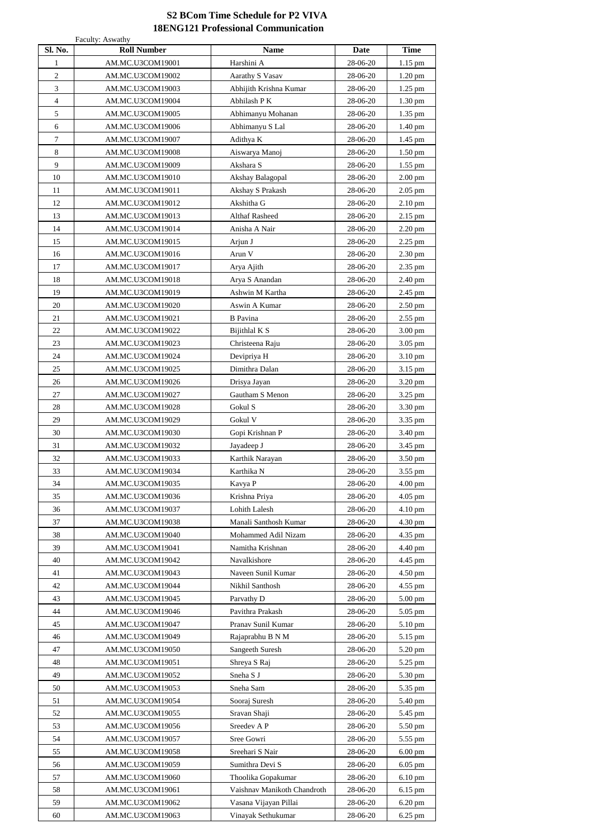| Sl. No.        | <b>Roll Number</b> | <b>Name</b>                 | <b>Date</b> | <b>Time</b>       |
|----------------|--------------------|-----------------------------|-------------|-------------------|
| $\mathbf{1}$   | AM.MC.U3COM19001   | Harshini A                  | 28-06-20    | 1.15 pm           |
| $\overline{2}$ | AM.MC.U3COM19002   | <b>Aarathy S Vasav</b>      | 28-06-20    | $1.20$ pm         |
| 3              | AM.MC.U3COM19003   | Abhijith Krishna Kumar      | 28-06-20    | 1.25 pm           |
| $\overline{4}$ | AM.MC.U3COM19004   | Abhilash P K                | 28-06-20    | $1.30$ pm         |
| 5              | AM.MC.U3COM19005   | Abhimanyu Mohanan           | 28-06-20    | 1.35 pm           |
| 6              | AM.MC.U3COM19006   | Abhimanyu S Lal             | 28-06-20    | 1.40 pm           |
| $\overline{7}$ | AM.MC.U3COM19007   | Adithya K                   | 28-06-20    | 1.45 pm           |
| $8\,$          | AM.MC.U3COM19008   | Aiswarya Manoj              | 28-06-20    | $1.50$ pm         |
| 9              | AM.MC.U3COM19009   | Akshara S                   | 28-06-20    | 1.55 pm           |
| 10             | AM.MC.U3COM19010   | Akshay Balagopal            | 28-06-20    | $2.00$ pm         |
| 11             | AM.MC.U3COM19011   | Akshay S Prakash            | 28-06-20    | $2.05$ pm         |
| 12             | AM.MC.U3COM19012   | Akshitha G                  | 28-06-20    | $2.10$ pm         |
| 13             | AM.MC.U3COM19013   | <b>Althaf Rasheed</b>       | 28-06-20    | 2.15 pm           |
| 14             | AM.MC.U3COM19014   | Anisha A Nair               | 28-06-20    | 2.20 pm           |
| 15             | AM.MC.U3COM19015   | Arjun J                     | 28-06-20    | 2.25 pm           |
| 16             | AM.MC.U3COM19016   | Arun V                      | 28-06-20    | 2.30 pm           |
| 17             | AM.MC.U3COM19017   | Arya Ajith                  | 28-06-20    | 2.35 pm           |
| 18             | AM.MC.U3COM19018   | Arya S Anandan              | 28-06-20    | 2.40 pm           |
| 19             | AM.MC.U3COM19019   | Ashwin M Kartha             | 28-06-20    | 2.45 pm           |
| 20             | AM.MC.U3COM19020   | Aswin A Kumar               | 28-06-20    | $2.50$ pm         |
| 21             | AM.MC.U3COM19021   | <b>B</b> Pavina             | 28-06-20    | $2.55$ pm         |
| 22             | AM.MC.U3COM19022   | Bijithlal K S               | 28-06-20    | 3.00 pm           |
| 23             | AM.MC.U3COM19023   | Christeena Raju             | 28-06-20    | 3.05 pm           |
| 24             | AM.MC.U3COM19024   | Devipriya H                 | 28-06-20    | 3.10 pm           |
| 25             | AM.MC.U3COM19025   | Dimithra Dalan              | 28-06-20    | 3.15 pm           |
| 26             | AM.MC.U3COM19026   | Drisya Jayan                | 28-06-20    | 3.20 pm           |
| 27             | AM.MC.U3COM19027   | <b>Gautham S Menon</b>      | 28-06-20    | 3.25 pm           |
| 28             | AM.MC.U3COM19028   | Gokul S                     | 28-06-20    | 3.30 pm           |
| 29             | AM.MC.U3COM19029   | Gokul V                     | 28-06-20    | 3.35 pm           |
| 30             | AM.MC.U3COM19030   | Gopi Krishnan P             | 28-06-20    | 3.40 pm           |
| 31             | AM.MC.U3COM19032   | Jayadeep J                  | 28-06-20    | 3.45 pm           |
| 32             | AM.MC.U3COM19033   | Karthik Narayan             | 28-06-20    | 3.50 pm           |
| 33             | AM.MC.U3COM19034   | Karthika N                  | 28-06-20    | 3.55 pm           |
| 34             | AM.MC.U3COM19035   | Kavya P                     | 28-06-20    | $4.00 \text{ pm}$ |
| 35             | AM.MC.U3COM19036   | Krishna Priya               | 28-06-20    | $4.05$ pm         |
| 36             | AM.MC.U3COM19037   | Lohith Lalesh               | 28-06-20    | 4.10 pm           |
| 37             | AM.MC.U3COM19038   | Manali Santhosh Kumar       | 28-06-20    | 4.30 pm           |
| 38             | AM.MC.U3COM19040   | Mohammed Adil Nizam         | 28-06-20    | 4.35 pm           |
| 39             | AM.MC.U3COM19041   | Namitha Krishnan            | 28-06-20    | 4.40 pm           |
| 40             | AM.MC.U3COM19042   | Navalkishore                | 28-06-20    | 4.45 pm           |
| 41             | AM.MC.U3COM19043   | Naveen Sunil Kumar          | 28-06-20    | 4.50 pm           |
| 42             | AM.MC.U3COM19044   | Nikhil Santhosh             | 28-06-20    | 4.55 pm           |
| 43             | AM.MC.U3COM19045   | Parvathy D                  | 28-06-20    | $5.00$ pm         |
| 44             | AM.MC.U3COM19046   | Pavithra Prakash            | 28-06-20    | 5.05 pm           |
| 45             | AM.MC.U3COM19047   | Pranav Sunil Kumar          | 28-06-20    | 5.10 pm           |
| 46             | AM.MC.U3COM19049   | Rajaprabhu B N M            | 28-06-20    | 5.15 pm           |
| 47             | AM.MC.U3COM19050   | Sangeeth Suresh             | 28-06-20    | 5.20 pm           |
| 48             | AM.MC.U3COM19051   | Shreya S Raj                | 28-06-20    | 5.25 pm           |
| 49             | AM.MC.U3COM19052   | Sneha S J                   | 28-06-20    | 5.30 pm           |
| 50             | AM.MC.U3COM19053   | Sneha Sam                   | 28-06-20    | 5.35 pm           |
| 51             | AM.MC.U3COM19054   | Sooraj Suresh               | 28-06-20    | 5.40 pm           |
| 52             | AM.MC.U3COM19055   | Sravan Shaji                | 28-06-20    | 5.45 pm           |
| 53             | AM.MC.U3COM19056   | Sreedev A P                 | 28-06-20    | 5.50 pm           |
| 54             | AM.MC.U3COM19057   | Sree Gowri                  | 28-06-20    | 5.55 pm           |
| 55             | AM.MC.U3COM19058   | Sreehari S Nair             | 28-06-20    | $6.00$ pm         |
| 56             | AM.MC.U3COM19059   | Sumithra Devi S             | 28-06-20    | $6.05$ pm         |
| 57             | AM.MC.U3COM19060   | Thoolika Gopakumar          | 28-06-20    | $6.10$ pm         |
| 58             | AM.MC.U3COM19061   | Vaishnav Manikoth Chandroth | 28-06-20    | 6.15 pm           |
| 59             | AM.MC.U3COM19062   | Vasana Vijayan Pillai       | 28-06-20    | 6.20 pm           |
| 60             | AM.MC.U3COM19063   | Vinayak Sethukumar          | 28-06-20    | 6.25 pm           |

## **S2 BCom Time Schedule for P2 VIVA 18ENG121 Professional Communication**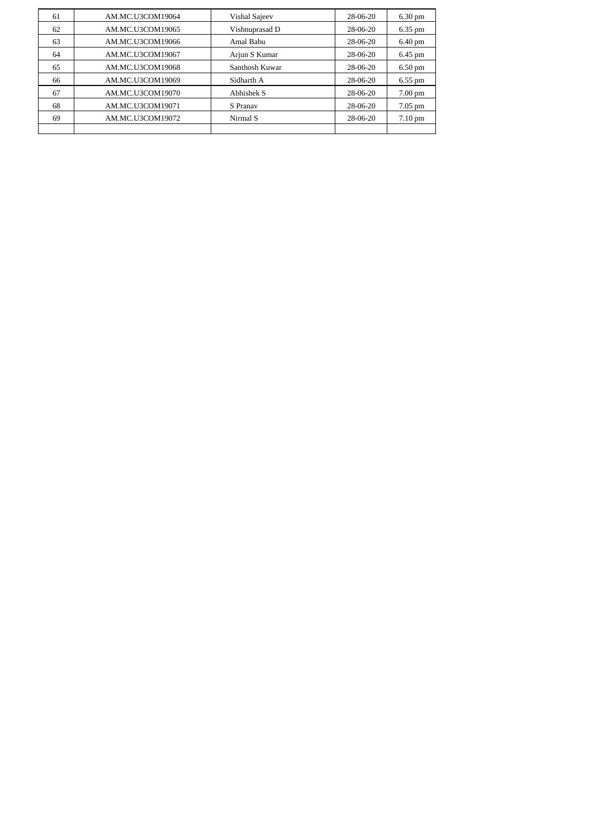| 61 | AM.MC.U3COM19064 | Vishal Sajeev  | 28-06-20   | $6.30 \text{ pm}$ |
|----|------------------|----------------|------------|-------------------|
| 62 | AM.MC.U3COM19065 | Vishnuprasad D | 28-06-20   | 6.35 pm           |
| 63 | AM.MC.U3COM19066 | Amal Babu      | 28-06-20   | $6.40 \text{ pm}$ |
| 64 | AM.MC.U3COM19067 | Arjun S Kumar  | 28-06-20   | 6.45 pm           |
| 65 | AM.MC.U3COM19068 | Santhosh Kuwar | 28-06-20   | $6.50$ pm         |
| 66 | AM.MC.U3COM19069 | Sidharth A     | $28-06-20$ | $6.55$ pm         |
| 67 | AM.MC.U3COM19070 | Abhishek S     | 28-06-20   | $7.00 \text{ pm}$ |
| 68 | AM.MC.U3COM19071 | S Pranav       | 28-06-20   | $7.05$ pm         |
| 69 | AM.MC.U3COM19072 | Nirmal S       | 28-06-20   | $7.10 \text{ pm}$ |
|    |                  |                |            |                   |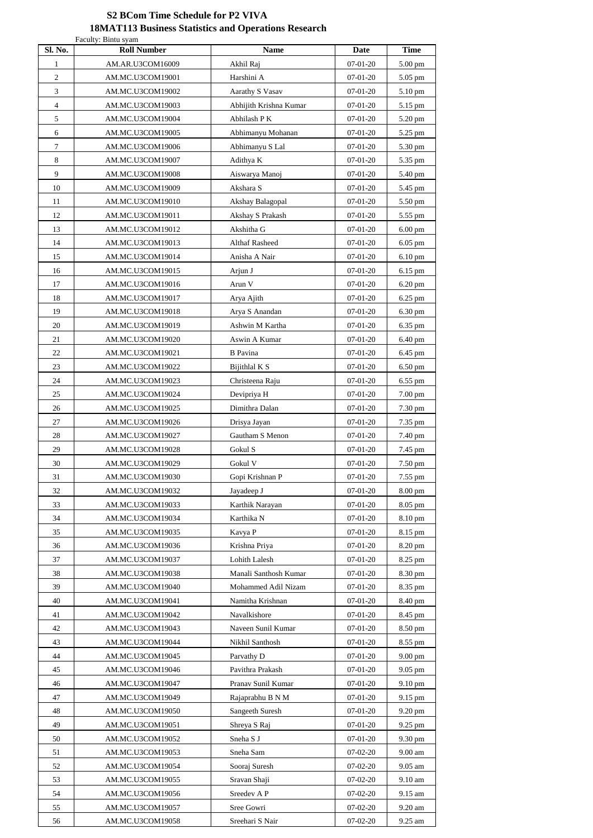## **S2 BCom Time Schedule for P2 VIVA 18MAT113 Business Statistics and Operations Research**

| Sl. No.        | Faculty: Bintu syam<br><b>Roll Number</b> | <b>Name</b>                                  | <b>Date</b>                  | <b>Time</b>        |
|----------------|-------------------------------------------|----------------------------------------------|------------------------------|--------------------|
| $\mathbf{1}$   | AM.AR.U3COM16009                          | Akhil Raj                                    | $07-01-20$                   | 5.00 pm            |
| $\overline{2}$ | AM.MC.U3COM19001                          | Harshini A                                   | $07-01-20$                   | 5.05 pm            |
| 3              | AM.MC.U3COM19002                          | Aarathy S Vasav                              | $07-01-20$                   | 5.10 pm            |
| $\overline{4}$ | AM.MC.U3COM19003                          | Abhijith Krishna Kumar                       | $07-01-20$                   | 5.15 pm            |
| 5              | AM.MC.U3COM19004                          | Abhilash P K                                 | $07-01-20$                   | 5.20 pm            |
| 6              | AM.MC.U3COM19005                          | Abhimanyu Mohanan                            | $07-01-20$                   | 5.25 pm            |
| $\tau$         | AM.MC.U3COM19006                          | Abhimanyu S Lal                              | $07-01-20$                   | 5.30 pm            |
| 8              | AM.MC.U3COM19007                          | Adithya K                                    | $07-01-20$                   | 5.35 pm            |
| 9              | AM.MC.U3COM19008                          | Aiswarya Manoj                               | $07-01-20$                   | 5.40 pm            |
| 10             | AM.MC.U3COM19009                          | Akshara S                                    | $07-01-20$                   | 5.45 pm            |
| 11             | AM.MC.U3COM19010                          | Akshay Balagopal                             | $07-01-20$                   | 5.50 pm            |
| 12             | AM.MC.U3COM19011                          | Akshay S Prakash                             | $07-01-20$                   | 5.55 pm            |
| 13             | AM.MC.U3COM19012                          | Akshitha G                                   | $07-01-20$                   | $6.00$ pm          |
| 14             | AM.MC.U3COM19013                          | <b>Althaf Rasheed</b>                        | $07-01-20$                   | $6.05$ pm          |
| 15             | AM.MC.U3COM19014                          | Anisha A Nair                                | $07-01-20$                   | $6.10 \text{ pm}$  |
| 16             | AM.MC.U3COM19015                          | Arjun J                                      | $07-01-20$                   | 6.15 pm            |
| 17             | AM.MC.U3COM19016                          | Arun V                                       | $07-01-20$                   | $6.20$ pm          |
| 18             | AM.MC.U3COM19017                          | Arya Ajith                                   | $07-01-20$                   | 6.25 pm            |
| 19             | AM.MC.U3COM19018                          | Arya S Anandan                               | $07-01-20$                   | 6.30 pm            |
| 20             | AM.MC.U3COM19019                          | Ashwin M Kartha                              | $07-01-20$                   | 6.35 pm            |
| 21             | AM.MC.U3COM19020                          | Aswin A Kumar                                | $07-01-20$                   | 6.40 pm            |
| $22\,$         | AM.MC.U3COM19021                          | <b>B</b> Pavina                              | $07 - 01 - 20$               | 6.45 pm            |
| 23             | AM.MC.U3COM19022                          | Bijithlal K S                                | $07-01-20$                   | 6.50 pm            |
| 24             | AM.MC.U3COM19023                          | Christeena Raju                              | $07-01-20$                   | 6.55 pm            |
| 25             | AM.MC.U3COM19024                          | Devipriya H                                  | $07-01-20$                   | 7.00 pm            |
| 26             | AM.MC.U3COM19025                          | Dimithra Dalan                               | $07-01-20$                   | 7.30 pm            |
| 27             | AM.MC.U3COM19026                          | Drisya Jayan                                 | $07-01-20$                   | 7.35 pm            |
| 28             | AM.MC.U3COM19027                          | Gautham S Menon                              | $07-01-20$                   | 7.40 pm            |
| 29             | AM.MC.U3COM19028                          | Gokul S                                      | $07-01-20$                   | 7.45 pm            |
| 30             | AM.MC.U3COM19029                          | Gokul V                                      | $07 - 01 - 20$               | 7.50 pm            |
| 31             | AM.MC.U3COM19030                          | Gopi Krishnan P                              | $07-01-20$                   | 7.55 pm            |
| 32             | AM.MC.U3COM19032                          | Jayadeep J                                   | $07-01-20$                   | 8.00 pm            |
| 33             | AM.MC.U3COM19033                          | Karthik Narayan                              | $07-01-20$                   | 8.05 pm            |
| 34             | AM.MC.U3COM19034                          | Karthika N                                   | $07 - 01 - 20$               | 8.10 pm            |
| 35             | AM.MC.U3COM19035                          | Kavya P                                      | $07-01-20$                   | 8.15 pm            |
| 36             | AM.MC.U3COM19036                          | Krishna Priya                                | $07 - 01 - 20$               | 8.20 pm            |
| 37             | AM.MC.U3COM19037                          | Lohith Lalesh                                | $07-01-20$                   | 8.25 pm            |
| 38<br>39       | AM.MC.U3COM19038<br>AM.MC.U3COM19040      | Manali Santhosh Kumar<br>Mohammed Adil Nizam | $07 - 01 - 20$<br>$07-01-20$ | 8.30 pm<br>8.35 pm |
| 40             | AM.MC.U3COM19041                          | Namitha Krishnan                             | $07-01-20$                   | 8.40 pm            |
| 41             | AM.MC.U3COM19042                          | Navalkishore                                 | $07 - 01 - 20$               | 8.45 pm            |
| 42             | AM.MC.U3COM19043                          | Naveen Sunil Kumar                           | $07-01-20$                   | 8.50 pm            |
| 43             | AM.MC.U3COM19044                          | Nikhil Santhosh                              | $07-01-20$                   | 8.55 pm            |
| 44             | AM.MC.U3COM19045                          | Parvathy D                                   | $07-01-20$                   | 9.00 pm            |
| 45             | AM.MC.U3COM19046                          | Pavithra Prakash                             | $07-01-20$                   | 9.05 pm            |
| 46             | AM.MC.U3COM19047                          | Pranav Sunil Kumar                           | $07-01-20$                   | 9.10 pm            |
| 47             | AM.MC.U3COM19049                          | Rajaprabhu B N M                             | $07-01-20$                   | 9.15 pm            |
| 48             | AM.MC.U3COM19050                          | Sangeeth Suresh                              | $07-01-20$                   | 9.20 pm            |
| 49             | AM.MC.U3COM19051                          | Shreya S Raj                                 | $07-01-20$                   | 9.25 pm            |
| 50             | AM.MC.U3COM19052                          | Sneha S J                                    | $07-01-20$                   | 9.30 pm            |
| 51             | AM.MC.U3COM19053                          | Sneha Sam                                    | $07-02-20$                   | 9.00 am            |
| 52             | AM.MC.U3COM19054                          | Sooraj Suresh                                | $07-02-20$                   | 9.05 am            |
| 53             | AM.MC.U3COM19055                          | Sravan Shaji                                 | $07-02-20$                   | 9.10 am            |
| 54             | AM.MC.U3COM19056                          | Sreedev A P                                  | $07-02-20$                   | 9.15 am            |
| 55             | AM.MC.U3COM19057                          | Sree Gowri                                   | $07-02-20$                   | 9.20 am            |
| 56             | AM.MC.U3COM19058                          | Sreehari S Nair                              | $07-02-20$                   | 9.25 am            |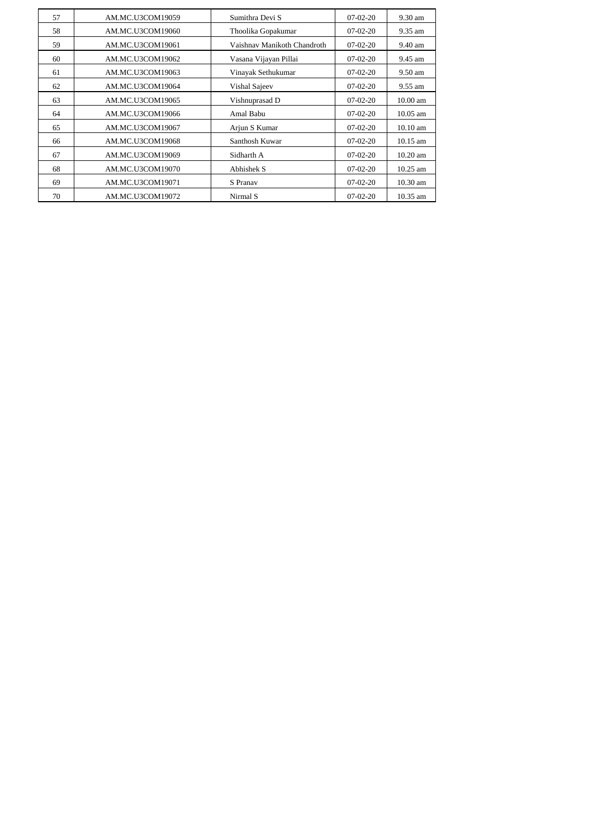| 57 | AM.MC.U3COM19059 | Sumithra Devi S             | $07-02-20$ | 9.30 am    |
|----|------------------|-----------------------------|------------|------------|
| 58 | AM.MC.U3COM19060 | Thoolika Gopakumar          | $07-02-20$ | 9.35 am    |
| 59 | AM.MC.U3COM19061 | Vaishnav Manikoth Chandroth | $07-02-20$ | 9.40 am    |
| 60 | AM.MC.U3COM19062 | Vasana Vijayan Pillai       | $07-02-20$ | 9.45 am    |
| 61 | AM.MC.U3COM19063 | Vinayak Sethukumar          | $07-02-20$ | 9.50 am    |
| 62 | AM.MC.U3COM19064 | Vishal Sajeev               | $07-02-20$ | 9.55 am    |
| 63 | AM.MC.U3COM19065 | Vishnuprasad D              | $07-02-20$ | $10.00$ am |
| 64 | AM.MC.U3COM19066 | Amal Babu                   | $07-02-20$ | 10.05 am   |
| 65 | AM.MC.U3COM19067 | Arjun S Kumar               | $07-02-20$ | 10.10 am   |
| 66 | AM.MC.U3COM19068 | Santhosh Kuwar              | $07-02-20$ | 10.15 am   |
| 67 | AM.MC.U3COM19069 | Sidharth A                  | $07-02-20$ | 10.20 am   |
| 68 | AM.MC.U3COM19070 | Abhishek S                  | $07-02-20$ | 10.25 am   |
| 69 | AM.MC.U3COM19071 | S Pranav                    | $07-02-20$ | 10.30 am   |
| 70 | AM.MC.U3COM19072 | Nirmal S                    | $07-02-20$ | 10.35 am   |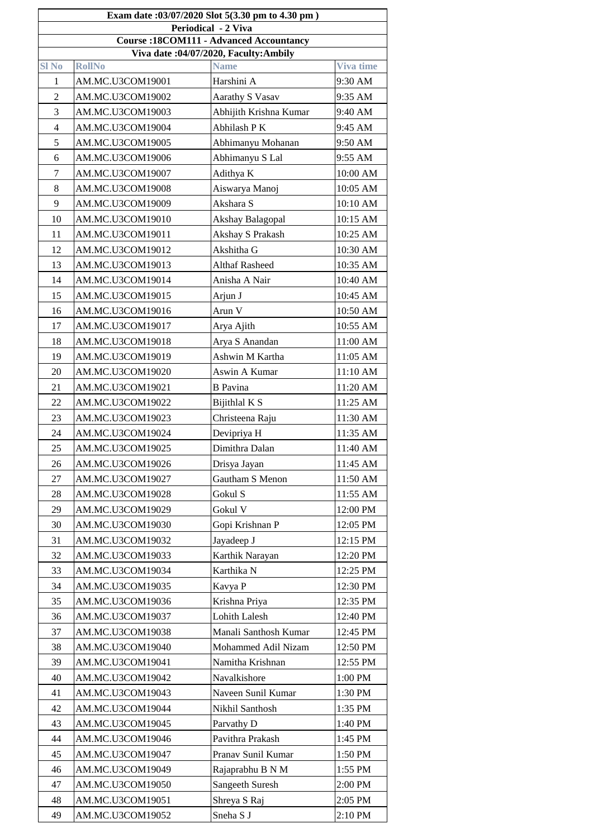|                            | Exam date:03/07/2020 Slot 5(3.30 pm to 4.30 pm) |                            |                  |  |  |  |  |
|----------------------------|-------------------------------------------------|----------------------------|------------------|--|--|--|--|
| <b>Periodical - 2 Viva</b> |                                                 |                            |                  |  |  |  |  |
|                            | <b>Course: 18COM111 - Advanced Accountancy</b>  |                            |                  |  |  |  |  |
|                            | Viva date: 04/07/2020, Faculty: Ambily          |                            |                  |  |  |  |  |
| <b>Sl No</b>               | <b>RollNo</b>                                   | <b>Name</b>                | <b>Viva time</b> |  |  |  |  |
| 1                          | AM.MC.U3COM19001                                | Harshini A                 | 9:30 AM          |  |  |  |  |
| $\overline{2}$             | AM.MC.U3COM19002                                | <b>Aarathy S Vasav</b>     | 9:35 AM          |  |  |  |  |
| 3                          | AM.MC.U3COM19003                                | Abhijith Krishna Kumar     | 9:40 AM          |  |  |  |  |
| $\overline{4}$             | AM.MC.U3COM19004                                | Abhilash PK                | 9:45 AM          |  |  |  |  |
| 5                          | AM.MC.U3COM19005                                | Abhimanyu Mohanan          | 9:50 AM          |  |  |  |  |
| 6                          | AM.MC.U3COM19006                                | Abhimanyu S Lal            | 9:55 AM          |  |  |  |  |
| $\overline{7}$             | AM.MC.U3COM19007                                | Adithya K                  | 10:00 AM         |  |  |  |  |
| 8                          | AM.MC.U3COM19008                                | Aiswarya Manoj             | 10:05 AM         |  |  |  |  |
| 9                          | AM.MC.U3COM19009                                | Akshara S                  | 10:10 AM         |  |  |  |  |
| 10                         | AM.MC.U3COM19010                                | Akshay Balagopal           | 10:15 AM         |  |  |  |  |
| 11                         | AM.MC.U3COM19011                                | Akshay S Prakash           | 10:25 AM         |  |  |  |  |
| 12                         | AM.MC.U3COM19012                                | Akshitha G                 | 10:30 AM         |  |  |  |  |
| 13                         | AM.MC.U3COM19013                                | <b>Althaf Rasheed</b>      | 10:35 AM         |  |  |  |  |
| 14                         | AM.MC.U3COM19014                                | Anisha A Nair              | 10:40 AM         |  |  |  |  |
| 15                         | AM.MC.U3COM19015                                | Arjun J                    | 10:45 AM         |  |  |  |  |
| 16                         | AM.MC.U3COM19016                                | Arun V                     | 10:50 AM         |  |  |  |  |
| 17                         | AM.MC.U3COM19017                                | Arya Ajith                 | 10:55 AM         |  |  |  |  |
| 18                         | AM.MC.U3COM19018                                | Arya S Anandan             | 11:00 AM         |  |  |  |  |
| 19                         | AM.MC.U3COM19019                                | Ashwin M Kartha            | 11:05 AM         |  |  |  |  |
| 20                         | AM.MC.U3COM19020                                | Aswin A Kumar              | 11:10 AM         |  |  |  |  |
| 21                         | AM.MC.U3COM19021                                | <b>B</b> Pavina            | 11:20 AM         |  |  |  |  |
| 22                         | AM.MC.U3COM19022                                | Bijithlal K S              | 11:25 AM         |  |  |  |  |
| 23                         | AM.MC.U3COM19023                                | Christeena Raju            | 11:30 AM         |  |  |  |  |
| 24                         | AM.MC.U3COM19024                                | Devipriya H                | 11:35 AM         |  |  |  |  |
| 25                         | AM.MC.U3COM19025                                | Dimithra Dalan             | 11:40 AM         |  |  |  |  |
| 26                         | AM.MC.U3COM19026                                | Drisya Jayan               | 11:45 AM         |  |  |  |  |
| 27                         | AM.MC.U3COM19027                                | <b>Gautham S Menon</b>     | 11:50 AM         |  |  |  |  |
| 28                         | AM.MC.U3COM19028                                | Gokul S                    | 11:55 AM         |  |  |  |  |
| 29                         | AM.MC.U3COM19029                                | Gokul V                    | 12:00 PM         |  |  |  |  |
| 30                         | AM.MC.U3COM19030                                | Gopi Krishnan P            | 12:05 PM         |  |  |  |  |
| 31                         | AM.MC.U3COM19032                                | Jayadeep J                 | 12:15 PM         |  |  |  |  |
| 32                         | AM.MC.U3COM19033                                | Karthik Narayan            | 12:20 PM         |  |  |  |  |
| 33                         | AM.MC.U3COM19034                                | Karthika N                 | 12:25 PM         |  |  |  |  |
| 34                         | AM.MC.U3COM19035                                | Kavya P                    | 12:30 PM         |  |  |  |  |
| 35                         | AM.MC.U3COM19036                                | Krishna Priya              | 12:35 PM         |  |  |  |  |
| 36                         | AM.MC.U3COM19037                                | <b>Lohith Lalesh</b>       | 12:40 PM         |  |  |  |  |
| 37                         | AM.MC.U3COM19038                                | Manali Santhosh Kumar      | 12:45 PM         |  |  |  |  |
| 38                         | AM.MC.U3COM19040                                | <b>Mohammed Adil Nizam</b> | 12:50 PM         |  |  |  |  |
| 39                         | AM.MC.U3COM19041                                | Namitha Krishnan           | 12:55 PM         |  |  |  |  |
| 40                         | AM.MC.U3COM19042                                | Navalkishore               | 1:00 PM          |  |  |  |  |
| 41                         | AM.MC.U3COM19043                                | Naveen Sunil Kumar         | 1:30 PM          |  |  |  |  |
| 42                         | AM.MC.U3COM19044                                | Nikhil Santhosh            | 1:35 PM          |  |  |  |  |
| 43                         | AM.MC.U3COM19045                                | Parvathy D                 | 1:40 PM          |  |  |  |  |
| 44                         | AM.MC.U3COM19046                                | Pavithra Prakash           | 1:45 PM          |  |  |  |  |
| 45                         | AM.MC.U3COM19047                                |                            | 1:50 PM          |  |  |  |  |
|                            |                                                 | Pranav Sunil Kumar         | 1:55 PM          |  |  |  |  |
| 46                         | AM.MC.U3COM19049                                | Rajaprabhu B N M           |                  |  |  |  |  |
| 47                         | AM.MC.U3COM19050                                | <b>Sangeeth Suresh</b>     | 2:00 PM          |  |  |  |  |
| 48                         | AM.MC.U3COM19051                                | Shreya S Raj               | 2:05 PM          |  |  |  |  |
| 49                         | AM.MC.U3COM19052                                | Sneha S J                  | 2:10 PM          |  |  |  |  |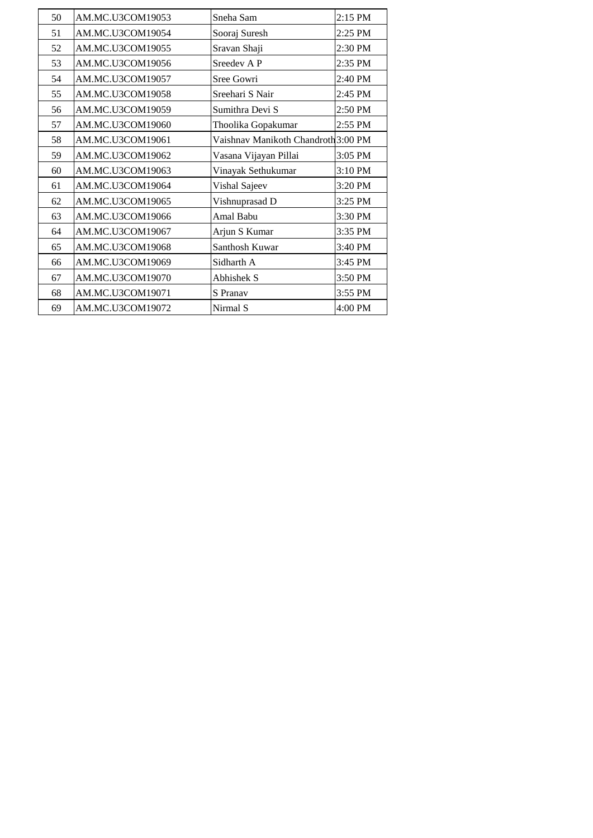| 50 | AM.MC.U3COM19053 | Sneha Sam                           | $2:15$ PM |
|----|------------------|-------------------------------------|-----------|
| 51 | AM.MC.U3COM19054 | Sooraj Suresh                       | 2:25 PM   |
| 52 | AM.MC.U3COM19055 | Sravan Shaji                        | 2:30 PM   |
| 53 | AM.MC.U3COM19056 | Sreedev A P                         | 2:35 PM   |
| 54 | AM.MC.U3COM19057 | Sree Gowri                          | 2:40 PM   |
| 55 | AM.MC.U3COM19058 | Sreehari S Nair                     | 2:45 PM   |
| 56 | AM.MC.U3COM19059 | Sumithra Devi S                     | 2:50 PM   |
| 57 | AM.MC.U3COM19060 | Thoolika Gopakumar                  | 2:55 PM   |
| 58 | AM.MC.U3COM19061 | Vaishnav Manikoth Chandroth 3:00 PM |           |
| 59 | AM.MC.U3COM19062 | Vasana Vijayan Pillai               | 3:05 PM   |
| 60 | AM.MC.U3COM19063 | Vinayak Sethukumar                  | 3:10 PM   |
| 61 | AM.MC.U3COM19064 | Vishal Sajeev                       | 3:20 PM   |
| 62 | AM.MC.U3COM19065 | Vishnuprasad D                      | 3:25 PM   |
| 63 | AM.MC.U3COM19066 | <b>Amal Babu</b>                    | 3:30 PM   |
| 64 | AM.MC.U3COM19067 | Arjun S Kumar                       | 3:35 PM   |
| 65 | AM.MC.U3COM19068 | Santhosh Kuwar                      | 3:40 PM   |
| 66 | AM.MC.U3COM19069 | Sidharth A                          | 3:45 PM   |
| 67 | AM.MC.U3COM19070 | <b>Abhishek S</b>                   | 3:50 PM   |
| 68 | AM.MC.U3COM19071 | S Pranav                            | 3:55 PM   |
| 69 | AM.MC.U3COM19072 | Nirmal S                            | 4:00 PM   |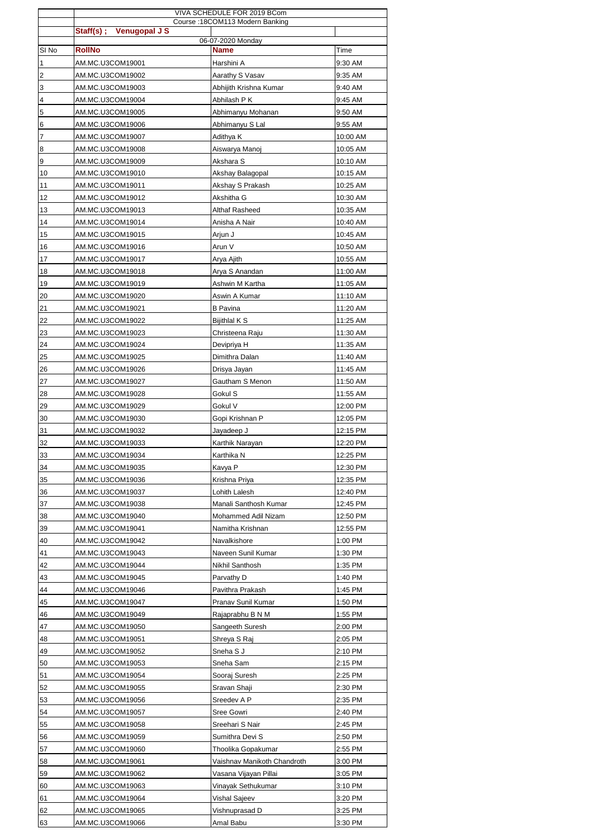|                         | VIVA SCHEDULE FOR 2019 BCom          |                                         |                      |
|-------------------------|--------------------------------------|-----------------------------------------|----------------------|
|                         | Staff(s) ; Venugopal J S             | Course: 18COM113 Modern Banking         |                      |
| SI <sub>No</sub>        | <b>RollNo</b>                        | 06-07-2020 Monday<br><b>Name</b>        | <b>Time</b>          |
| 1                       | AM.MC.U3COM19001                     | Harshini A                              | 9:30 AM              |
| $\overline{\mathbf{c}}$ | AM.MC.U3COM19002                     | Aarathy S Vasav                         | 9:35 AM              |
| 3                       | AM.MC.U3COM19003                     | Abhijith Krishna Kumar                  | 9:40 AM              |
| 4                       | AM.MC.U3COM19004                     | Abhilash P K                            | 9:45 AM              |
| 5                       | AM.MC.U3COM19005                     | Abhimanyu Mohanan                       | 9:50 AM              |
| 6                       | AM.MC.U3COM19006                     | Abhimanyu S Lal                         | 9:55 AM              |
| 7                       | AM.MC.U3COM19007                     | Adithya K                               | 10:00 AM             |
| 8                       | AM.MC.U3COM19008                     | Aiswarya Manoj                          | 10:05 AM             |
| 9                       | AM.MC.U3COM19009                     | Akshara S                               | 10:10 AM             |
| 10                      | AM.MC.U3COM19010                     | Akshay Balagopal                        | 10:15 AM             |
| 11                      | AM.MC.U3COM19011                     | Akshay S Prakash                        | 10:25 AM             |
| 12                      | AM.MC.U3COM19012                     | Akshitha G                              | 10:30 AM             |
| 13                      | AM.MC.U3COM19013                     | <b>Althaf Rasheed</b>                   | 10:35 AM             |
| 14                      | AM.MC.U3COM19014                     | Anisha A Nair                           | 10:40 AM             |
| 15                      | AM.MC.U3COM19015                     | Arjun J                                 | 10:45 AM             |
| 16                      | AM.MC.U3COM19016                     | Arun V                                  | 10:50 AM             |
| 17                      | AM.MC.U3COM19017                     | Arya Ajith                              | 10:55 AM             |
| 18                      | AM.MC.U3COM19018                     | Arya S Anandan                          | 11:00 AM             |
| 19                      | AM.MC.U3COM19019                     | Ashwin M Kartha                         | 11:05 AM             |
| 20                      | AM.MC.U3COM19020                     | Aswin A Kumar                           | 11:10 AM             |
| 21<br>22                | AM.MC.U3COM19021<br>AM.MC.U3COM19022 | <b>B</b> Pavina<br><b>Bijithlal K S</b> | 11:20 AM<br>11:25 AM |
| 23                      | AM.MC.U3COM19023                     | Christeena Raju                         | 11:30 AM             |
| 24                      | AM.MC.U3COM19024                     | Devipriya H                             | 11:35 AM             |
| 25                      | AM.MC.U3COM19025                     | Dimithra Dalan                          | 11:40 AM             |
| 26                      | AM.MC.U3COM19026                     | Drisya Jayan                            | 11:45 AM             |
| 27                      | AM.MC.U3COM19027                     | Gautham S Menon                         | 11:50 AM             |
| 28                      | AM.MC.U3COM19028                     | Gokul S                                 | 11:55 AM             |
| 29                      | AM.MC.U3COM19029                     | Gokul V                                 | 12:00 PM             |
| 30                      | AM.MC.U3COM19030                     | Gopi Krishnan P                         | 12:05 PM             |
| 31                      | AM.MC.U3COM19032                     | Jayadeep J                              | 12:15 PM             |
| 32                      | AM.MC.U3COM19033                     | Karthik Narayan                         | 12:20 PM             |
| 33                      | AM.MC.U3COM19034                     | Karthika N                              | 12:25 PM             |
| 34                      | AM.MC.U3COM19035                     | Kavya P                                 | 12:30 PM             |
| 35                      | AM.MC.U3COM19036                     | Krishna Priya                           | 12:35 PM             |
| 36                      | AM.MC.U3COM19037                     | Lohith Lalesh                           | 12:40 PM             |
| 37                      | AM.MC.U3COM19038                     | Manali Santhosh Kumar                   | 12:45 PM             |
| 38                      | AM.MC.U3COM19040                     | Mohammed Adil Nizam                     | 12:50 PM             |
| 39                      | AM.MC.U3COM19041                     | Namitha Krishnan                        | 12:55 PM             |
| 40                      | AM.MC.U3COM19042                     | Navalkishore                            | 1:00 PM              |
| 41                      | AM.MC.U3COM19043                     | Naveen Sunil Kumar                      | 1:30 PM              |
| 42                      | AM.MC.U3COM19044                     | Nikhil Santhosh                         | 1:35 PM              |
| 43<br>44                | AM.MC.U3COM19045                     | Parvathy D                              | 1:40 PM<br>1:45 PM   |
| 45                      | AM.MC.U3COM19046<br>AM.MC.U3COM19047 | Pavithra Prakash<br>Pranav Sunil Kumar  | 1:50 PM              |
| 46                      | AM.MC.U3COM19049                     | Rajaprabhu B N M                        | 1:55 PM              |
| 47                      | AM.MC.U3COM19050                     | Sangeeth Suresh                         | 2:00 PM              |
| 48                      | AM.MC.U3COM19051                     | Shreya S Raj                            | 2:05 PM              |
| 49                      | AM.MC.U3COM19052                     | Sneha S J                               | 2:10 PM              |
| 50                      | AM.MC.U3COM19053                     | Sneha Sam                               | 2:15 PM              |
| 51                      | AM.MC.U3COM19054                     | Sooraj Suresh                           | 2:25 PM              |
| 52                      | AM.MC.U3COM19055                     | Sravan Shaji                            | 2:30 PM              |
| 53                      | AM.MC.U3COM19056                     | Sreedev A P                             | 2:35 PM              |
| 54                      | AM.MC.U3COM19057                     | Sree Gowri                              | 2:40 PM              |
| 55                      | AM.MC.U3COM19058                     | Sreehari S Nair                         | 2:45 PM              |
| 56                      | AM.MC.U3COM19059                     | Sumithra Devi S                         | 2:50 PM              |
| 57                      | AM.MC.U3COM19060                     | Thoolika Gopakumar                      | 2:55 PM              |
| 58                      | AM.MC.U3COM19061                     | Vaishnav Manikoth Chandroth             | 3:00 PM              |
| 59                      | AM.MC.U3COM19062                     | Vasana Vijayan Pillai                   | 3:05 PM              |
| 60                      | AM.MC.U3COM19063                     | Vinayak Sethukumar                      | 3:10 PM              |
| 61                      | AM.MC.U3COM19064                     | Vishal Sajeev                           | 3:20 PM              |
| 62                      | AM.MC.U3COM19065                     | Vishnuprasad D                          | 3:25 PM              |
| 63                      | AM.MC.U3COM19066                     | Amal Babu                               | 3:30 PM              |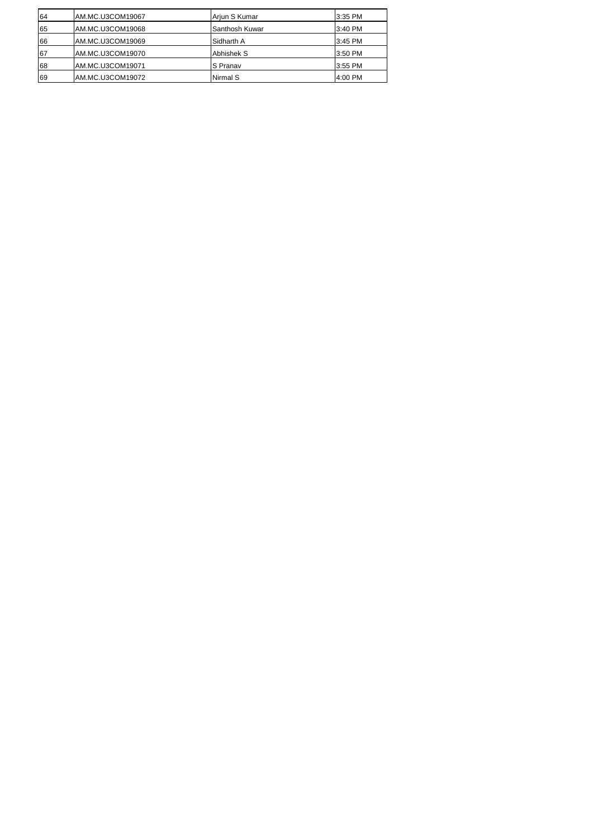| 64  | AM.MC.U3COM19067 | Arjun S Kumar     | 3:35 PM  |
|-----|------------------|-------------------|----------|
| 165 | AM.MC.U3COM19068 | Santhosh Kuwar    | 13:40 PM |
| 166 | AM.MC.U3COM19069 | <b>Sidharth A</b> | 3:45 PM  |
| 67  | AM.MC.U3COM19070 | <b>Abhishek S</b> | 13:50 PM |
| 68  | AM.MC.U3COM19071 | <b>IS Pranav</b>  | 13:55 PM |
| 69  | AM.MC.U3COM19072 | Nirmal S          | 14:00 PM |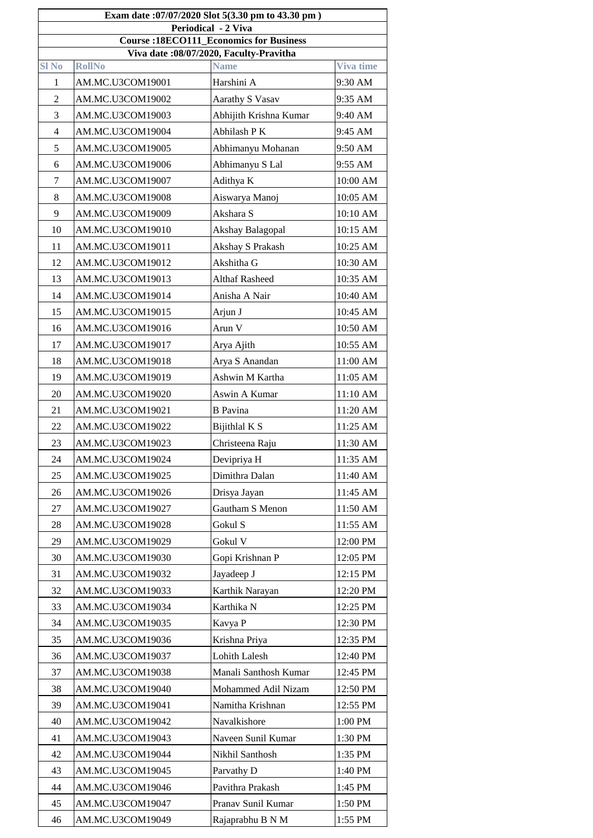| Exam date:07/07/2020 Slot 5(3.30 pm to 43.30 pm)                                                            |                                                |                        |          |  |  |  |
|-------------------------------------------------------------------------------------------------------------|------------------------------------------------|------------------------|----------|--|--|--|
| <b>Periodical - 2 Viva</b>                                                                                  |                                                |                        |          |  |  |  |
|                                                                                                             | <b>Course: 18ECO111_Economics for Business</b> |                        |          |  |  |  |
| Viva date :08/07/2020, Faculty-Pravitha<br><b>Name</b><br><b>SI No</b><br><b>RollNo</b><br><b>Viva time</b> |                                                |                        |          |  |  |  |
| 1                                                                                                           | AM.MC.U3COM19001                               | Harshini A             | 9:30 AM  |  |  |  |
| $\overline{2}$                                                                                              | AM.MC.U3COM19002                               | <b>Aarathy S Vasav</b> | 9:35 AM  |  |  |  |
| 3                                                                                                           | AM.MC.U3COM19003                               | Abhijith Krishna Kumar | 9:40 AM  |  |  |  |
| 4                                                                                                           | AM.MC.U3COM19004                               | Abhilash PK            | 9:45 AM  |  |  |  |
| 5                                                                                                           | AM.MC.U3COM19005                               | Abhimanyu Mohanan      | 9:50 AM  |  |  |  |
| 6                                                                                                           | AM.MC.U3COM19006                               | Abhimanyu S Lal        | 9:55 AM  |  |  |  |
| $\overline{7}$                                                                                              | AM.MC.U3COM19007                               | Adithya K              | 10:00 AM |  |  |  |
| 8                                                                                                           | AM.MC.U3COM19008                               | Aiswarya Manoj         | 10:05 AM |  |  |  |
| 9                                                                                                           | AM.MC.U3COM19009                               | Akshara S              | 10:10 AM |  |  |  |
| 10                                                                                                          | AM.MC.U3COM19010                               | Akshay Balagopal       | 10:15 AM |  |  |  |
| 11                                                                                                          | AM.MC.U3COM19011                               | Akshay S Prakash       | 10:25 AM |  |  |  |
| 12                                                                                                          | AM.MC.U3COM19012                               | Akshitha G             | 10:30 AM |  |  |  |
| 13                                                                                                          | AM.MC.U3COM19013                               | <b>Althaf Rasheed</b>  | 10:35 AM |  |  |  |
| 14                                                                                                          | AM.MC.U3COM19014                               | Anisha A Nair          | 10:40 AM |  |  |  |
| 15                                                                                                          | AM.MC.U3COM19015                               | Arjun J                | 10:45 AM |  |  |  |
| 16                                                                                                          | AM.MC.U3COM19016                               | Arun V                 | 10:50 AM |  |  |  |
| 17                                                                                                          | AM.MC.U3COM19017                               | Arya Ajith             | 10:55 AM |  |  |  |
| 18                                                                                                          | AM.MC.U3COM19018                               | Arya S Anandan         | 11:00 AM |  |  |  |
| 19                                                                                                          | AM.MC.U3COM19019                               | Ashwin M Kartha        | 11:05 AM |  |  |  |
| 20                                                                                                          | AM.MC.U3COM19020                               | Aswin A Kumar          | 11:10 AM |  |  |  |
| 21                                                                                                          | AM.MC.U3COM19021                               | <b>B</b> Pavina        | 11:20 AM |  |  |  |
| 22                                                                                                          | AM.MC.U3COM19022                               | Bijithlal K S          | 11:25 AM |  |  |  |
| 23                                                                                                          | AM.MC.U3COM19023                               | Christeena Raju        | 11:30 AM |  |  |  |
| 24                                                                                                          | AM.MC.U3COM19024                               | Devipriya H            | 11:35 AM |  |  |  |
| 25                                                                                                          | AM.MC.U3COM19025                               | Dimithra Dalan         | 11:40 AM |  |  |  |
| 26                                                                                                          | AM.MC.U3COM19026                               | Drisya Jayan           | 11:45 AM |  |  |  |
| 27                                                                                                          | AM.MC.U3COM19027                               | <b>Gautham S Menon</b> | 11:50 AM |  |  |  |
| 28                                                                                                          | AM.MC.U3COM19028                               | Gokul S                | 11:55 AM |  |  |  |
| 29                                                                                                          | AM.MC.U3COM19029                               | Gokul V                | 12:00 PM |  |  |  |
| 30                                                                                                          | AM.MC.U3COM19030                               | Gopi Krishnan P        | 12:05 PM |  |  |  |
| 31                                                                                                          | AM.MC.U3COM19032                               | Jayadeep J             | 12:15 PM |  |  |  |
| 32                                                                                                          | AM.MC.U3COM19033                               | <b>Karthik Narayan</b> | 12:20 PM |  |  |  |
| 33                                                                                                          | AM.MC.U3COM19034                               | Karthika N             | 12:25 PM |  |  |  |
| 34                                                                                                          | AM.MC.U3COM19035                               | Kavya P                | 12:30 PM |  |  |  |
| 35                                                                                                          | AM.MC.U3COM19036                               | Krishna Priya          | 12:35 PM |  |  |  |
| 36                                                                                                          | AM.MC.U3COM19037                               | <b>Lohith Lalesh</b>   | 12:40 PM |  |  |  |
| 37                                                                                                          | AM.MC.U3COM19038                               | Manali Santhosh Kumar  | 12:45 PM |  |  |  |
| 38                                                                                                          | AM.MC.U3COM19040                               | Mohammed Adil Nizam    | 12:50 PM |  |  |  |
| 39                                                                                                          | AM.MC.U3COM19041                               | Namitha Krishnan       | 12:55 PM |  |  |  |
| 40                                                                                                          | AM.MC.U3COM19042                               | Navalkishore           | 1:00 PM  |  |  |  |
| 41                                                                                                          | AM.MC.U3COM19043                               | Naveen Sunil Kumar     | 1:30 PM  |  |  |  |
| 42                                                                                                          | AM.MC.U3COM19044                               | Nikhil Santhosh        | 1:35 PM  |  |  |  |
| 43                                                                                                          | AM.MC.U3COM19045                               | Parvathy D             | 1:40 PM  |  |  |  |
| 44                                                                                                          | AM.MC.U3COM19046                               | Pavithra Prakash       | 1:45 PM  |  |  |  |
| 45                                                                                                          | AM.MC.U3COM19047                               | Pranav Sunil Kumar     | 1:50 PM  |  |  |  |
| 46                                                                                                          | AM.MC.U3COM19049                               | Rajaprabhu B N M       | 1:55 PM  |  |  |  |